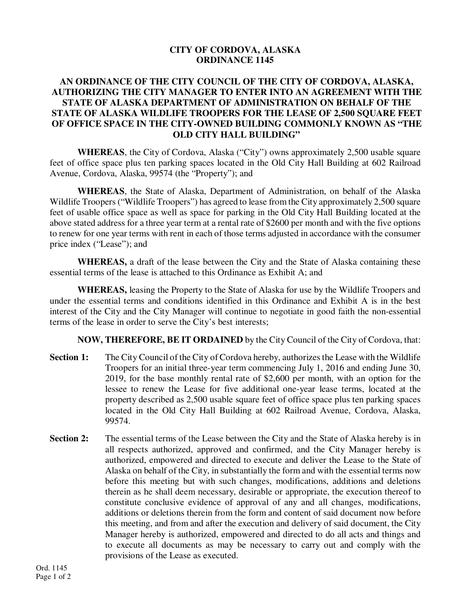## **CITY OF CORDOVA, ALASKA ORDINANCE 1145**

## **AN ORDINANCE OF THE CITY COUNCIL OF THE CITY OF CORDOVA, ALASKA, AUTHORIZING THE CITY MANAGER TO ENTER INTO AN AGREEMENT WITH THE STATE OF ALASKA DEPARTMENT OF ADMINISTRATION ON BEHALF OF THE STATE OF ALASKA WILDLIFE TROOPERS FOR THE LEASE OF 2,500 SQUARE FEET OF OFFICE SPACE IN THE CITY-OWNED BUILDING COMMONLY KNOWN AS "THE OLD CITY HALL BUILDING"**

**WHEREAS**, the City of Cordova, Alaska ("City") owns approximately 2,500 usable square feet of office space plus ten parking spaces located in the Old City Hall Building at 602 Railroad Avenue, Cordova, Alaska, 99574 (the "Property"); and

**WHEREAS**, the State of Alaska, Department of Administration, on behalf of the Alaska Wildlife Troopers ("Wildlife Troopers") has agreed to lease from the City approximately 2,500 square feet of usable office space as well as space for parking in the Old City Hall Building located at the above stated address for a three year term at a rental rate of \$2600 per month and with the five options to renew for one year terms with rent in each of those terms adjusted in accordance with the consumer price index ("Lease"); and

**WHEREAS,** a draft of the lease between the City and the State of Alaska containing these essential terms of the lease is attached to this Ordinance as Exhibit A; and

**WHEREAS,** leasing the Property to the State of Alaska for use by the Wildlife Troopers and under the essential terms and conditions identified in this Ordinance and Exhibit A is in the best interest of the City and the City Manager will continue to negotiate in good faith the non-essential terms of the lease in order to serve the City's best interests;

**NOW, THEREFORE, BE IT ORDAINED** by the City Council of the City of Cordova, that:

- **Section 1:** The City Council of the City of Cordova hereby, authorizes the Lease with the Wildlife Troopers for an initial three-year term commencing July 1, 2016 and ending June 30, 2019, for the base monthly rental rate of \$2,600 per month, with an option for the lessee to renew the Lease for five additional one-year lease terms, located at the property described as 2,500 usable square feet of office space plus ten parking spaces located in the Old City Hall Building at 602 Railroad Avenue, Cordova, Alaska, 99574.
- **Section 2:** The essential terms of the Lease between the City and the State of Alaska hereby is in all respects authorized, approved and confirmed, and the City Manager hereby is authorized, empowered and directed to execute and deliver the Lease to the State of Alaska on behalf of the City, in substantially the form and with the essential terms now before this meeting but with such changes, modifications, additions and deletions therein as he shall deem necessary, desirable or appropriate, the execution thereof to constitute conclusive evidence of approval of any and all changes, modifications, additions or deletions therein from the form and content of said document now before this meeting, and from and after the execution and delivery of said document, the City Manager hereby is authorized, empowered and directed to do all acts and things and to execute all documents as may be necessary to carry out and comply with the provisions of the Lease as executed.